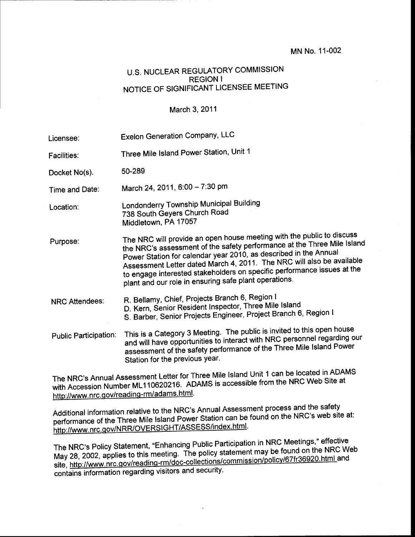## MN No. 11-002

## U.S. NUCLEAR REGULATORY COMMISSION REGION <sup>I</sup> NOTICE OF SIGNIFICANT LICENSEE MEETING

## March 3, 2011

| Licensee:                    | <b>Exelon Generation Company, LLC</b>                                                                                                                                                                                                                                                                                                                                                                                             |
|------------------------------|-----------------------------------------------------------------------------------------------------------------------------------------------------------------------------------------------------------------------------------------------------------------------------------------------------------------------------------------------------------------------------------------------------------------------------------|
| Facilities:                  | Three Mile Island Power Station, Unit 1                                                                                                                                                                                                                                                                                                                                                                                           |
| Docket No(s).                | 50-289                                                                                                                                                                                                                                                                                                                                                                                                                            |
| Time and Date:               | March 24, 2011, 6:00 - 7:30 pm                                                                                                                                                                                                                                                                                                                                                                                                    |
| Location:                    | Londonderry Township Municipal Building<br>738 South Geyers Church Road<br>Middletown, PA 17057                                                                                                                                                                                                                                                                                                                                   |
| Purpose:                     | The NRC will provide an open house meeting with the public to discuss<br>the NRC's assessment of the safety performance at the Three Mile Island<br>Power Station for calendar year 2010, as described in the Annual<br>Assessment Letter dated March 4, 2011. The NRC will also be available<br>to engage interested stakeholders on specific performance issues at the<br>plant and our role in ensuring safe plant operations. |
| <b>NRC Attendees:</b>        | R. Bellamy, Chief, Projects Branch 6, Region I<br>D. Kern, Senior Resident Inspector, Three Mile Island<br>S. Barber, Senior Projects Engineer, Project Branch 6, Region I                                                                                                                                                                                                                                                        |
| <b>Public Participation:</b> | This is a Category 3 Meeting. The public is invited to this open house<br>and will have opportunities to interact with NRC personnel regarding our<br>assessment of the safety performance of the Three Mile Island Power<br>Station for the previous year.                                                                                                                                                                       |
|                              | <b><i>CONTRACTE A LA POARACTE A POARACTE A POARACTE</i></b>                                                                                                                                                                                                                                                                                                                                                                       |

The NRC's Annual Assessment Letter for Three Mile Island Unit 1 can be located in ADAMS with Accession Number ML110620216. ADAMS is accessible from the NRC Web Site at http://www.nrc.gov/reading-rm/adams.html

Additional information relative to the NRC's Annual Assessment process and the safety performance of the Three Mile Island Power Station can be found on the NRC's web site at:<br>http://www.nrc.gov/NRR/OVERSIGHT/ASSESS/index.html.

The NRC's Policy Statement, "Enhancing Public Participation in NRC Meetings," effective The NRC's Policy Statement, "Enhancing Public Participation in NRC Meetings," ellective<br>May 28, 2002, applies to this meeting. The policy statement may be found on the NRC Web<br>site, http://www.nrc.gov/reading-rm/doc-colle policy statement may be found on the river site, http://www.nrc.gov/reading-rm/doc-collections/ contains information regarding visitors and security.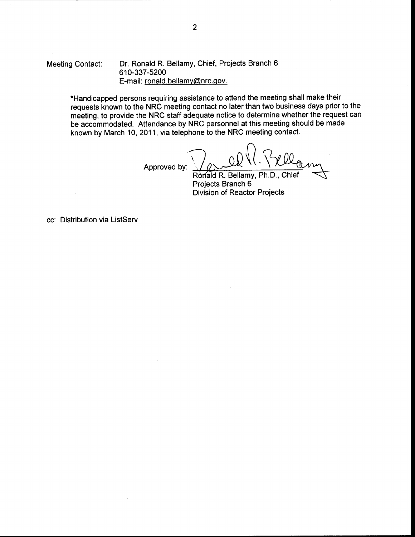Meeting Contact: Dr. Ronald R. Bellamy, Chief, Projects Branch <sup>6</sup> 610-337-5200 E-mail: ronald. bellamv@nrc.gov.

> \*Handicapped persons requiring assistance to attend the meeting shall make their requests known to the NRC meeting contact no later than two business days prior to the meeting, to provide the NRC staff adequate notice to determine whether the request can be accommodated. Attendance by NRC personnel at this meeting should be made known by March 10,2011, via telephone to the NRC meeting contact.

> > Approved by:

Ronald R. Bellamy, Ph.D., Chief

Projects Branch 6 Division of Reactor Projects

cc: Distribution via ListServ